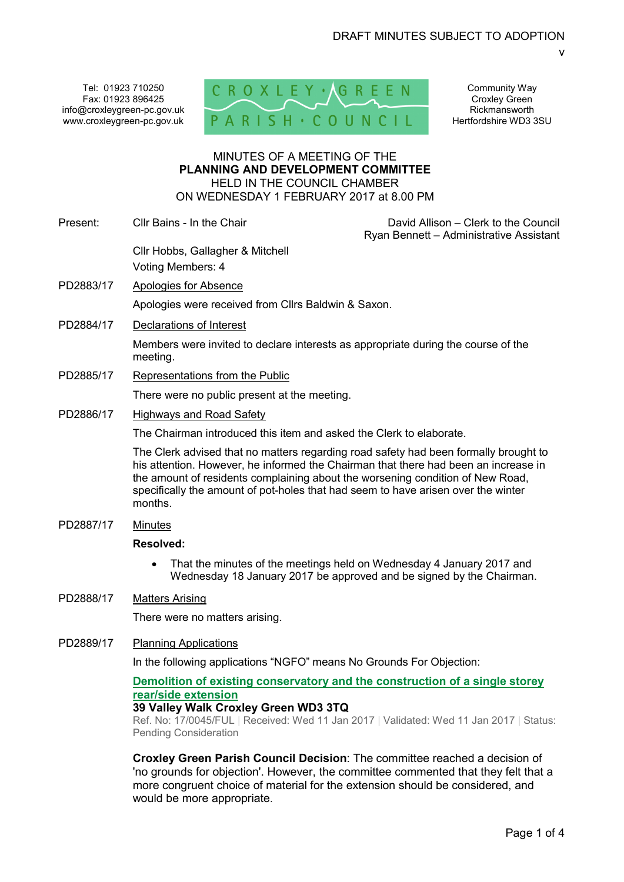Tel: 01923 710250 Fax: 01923 896425 info@croxleygreen-pc.gov.uk www.croxleygreen-pc.gov.uk



Community Way Croxley Green Rickmansworth Hertfordshire WD3 3SU

v

## MINUTES OF A MEETING OF THE **PLANNING AND DEVELOPMENT COMMITTEE** HELD IN THE COUNCIL CHAMBER ON WEDNESDAY 1 FEBRUARY 2017 at 8.00 PM

Present: Cllr Bains - In the Chair David Allison – Clerk to the Council Ryan Bennett – Administrative Assistant

Cllr Hobbs, Gallagher & Mitchell Voting Members: 4

- PD2883/17 Apologies for Absence Apologies were received from Cllrs Baldwin & Saxon.
- PD2884/17 Declarations of Interest

Members were invited to declare interests as appropriate during the course of the meeting.

PD2885/17 Representations from the Public

There were no public present at the meeting.

PD2886/17 Highways and Road Safety

The Chairman introduced this item and asked the Clerk to elaborate.

The Clerk advised that no matters regarding road safety had been formally brought to his attention. However, he informed the Chairman that there had been an increase in the amount of residents complaining about the worsening condition of New Road, specifically the amount of pot-holes that had seem to have arisen over the winter months.

PD2887/17 Minutes

### **Resolved:**

• That the minutes of the meetings held on Wednesday 4 January 2017 and Wednesday 18 January 2017 be approved and be signed by the Chairman.

# PD2888/17 Matters Arising

There were no matters arising.

PD2889/17 Planning Applications

In the following applications "NGFO" means No Grounds For Objection:

# **Demolition of existing conservatory and the construction of a single storey rear/side extension**

# **39 Valley Walk Croxley Green WD3 3TQ**

Ref. No: 17/0045/FUL | Received: Wed 11 Jan 2017 | Validated: Wed 11 Jan 2017 | Status: Pending Consideration

**Croxley Green Parish Council Decision**: The committee reached a decision of 'no grounds for objection'. However, the committee commented that they felt that a more congruent choice of material for the extension should be considered, and would be more appropriate.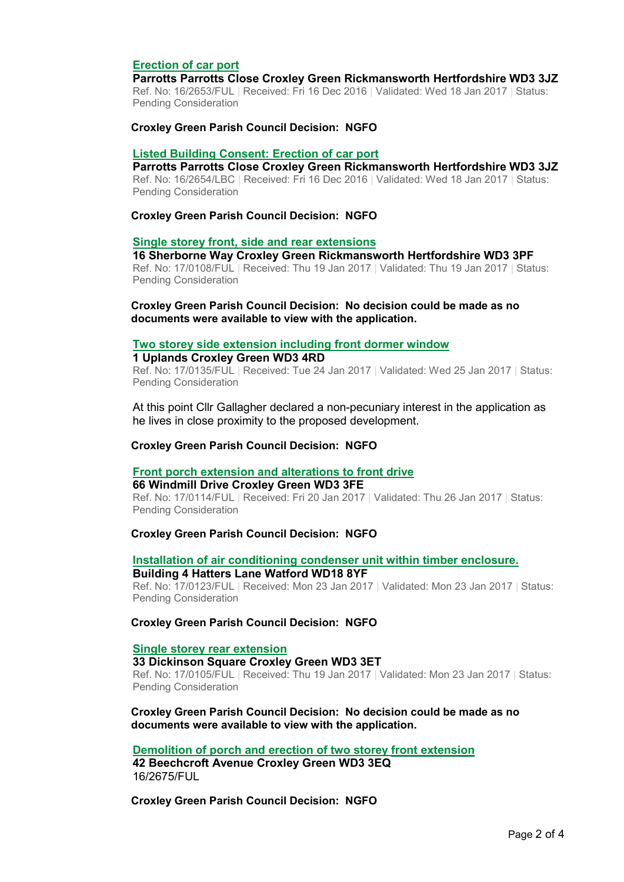# **Erection of car port**

#### **Parrotts Parrotts Close Croxley Green Rickmansworth Hertfordshire WD3 3JZ**

Ref. No: 16/2653/FUL | Received: Fri 16 Dec 2016 | Validated: Wed 18 Jan 2017 | Status: Pending Consideration

### **Croxley Green Parish Council Decision: NGFO**

## **Listed Building Consent: Erection of car port**

**Parrotts Parrotts Close Croxley Green Rickmansworth Hertfordshire WD3 3JZ**  Ref. No: 16/2654/LBC | Received: Fri 16 Dec 2016 | Validated: Wed 18 Jan 2017 | Status: Pending Consideration

#### **Croxley Green Parish Council Decision: NGFO**

#### **Single storey front, side and rear extensions**

**16 Sherborne Way Croxley Green Rickmansworth Hertfordshire WD3 3PF**  Ref. No: 17/0108/FUL | Received: Thu 19 Jan 2017 | Validated: Thu 19 Jan 2017 | Status:

Pending Consideration

**Croxley Green Parish Council Decision: No decision could be made as no documents were available to view with the application.** 

#### **Two storey side extension including front dormer window**

### **1 Uplands Croxley Green WD3 4RD**

Ref. No: 17/0135/FUL | Received: Tue 24 Jan 2017 | Validated: Wed 25 Jan 2017 | Status: Pending Consideration

At this point Cllr Gallagher declared a non-pecuniary interest in the application as he lives in close proximity to the proposed development.

## **Croxley Green Parish Council Decision: NGFO**

#### **Front porch extension and alterations to front drive**

**66 Windmill Drive Croxley Green WD3 3FE** 

Ref. No: 17/0114/FUL | Received: Fri 20 Jan 2017 | Validated: Thu 26 Jan 2017 | Status: Pending Consideration

#### **Croxley Green Parish Council Decision: NGFO**

### **Installation of air conditioning condenser unit within timber enclosure. Building 4 Hatters Lane Watford WD18 8YF**

Ref. No: 17/0123/FUL | Received: Mon 23 Jan 2017 | Validated: Mon 23 Jan 2017 | Status: Pending Consideration

**Croxley Green Parish Council Decision: NGFO** 

## **Single storey rear extension**

**33 Dickinson Square Croxley Green WD3 3ET**  Ref. No: 17/0105/FUL | Received: Thu 19 Jan 2017 | Validated: Mon 23 Jan 2017 | Status: Pending Consideration

## **Croxley Green Parish Council Decision: No decision could be made as no documents were available to view with the application.**

**Demolition of porch and erection of two storey front extension** 

**42 Beechcroft Avenue Croxley Green WD3 3EQ**  16/2675/FUL

**Croxley Green Parish Council Decision: NGFO**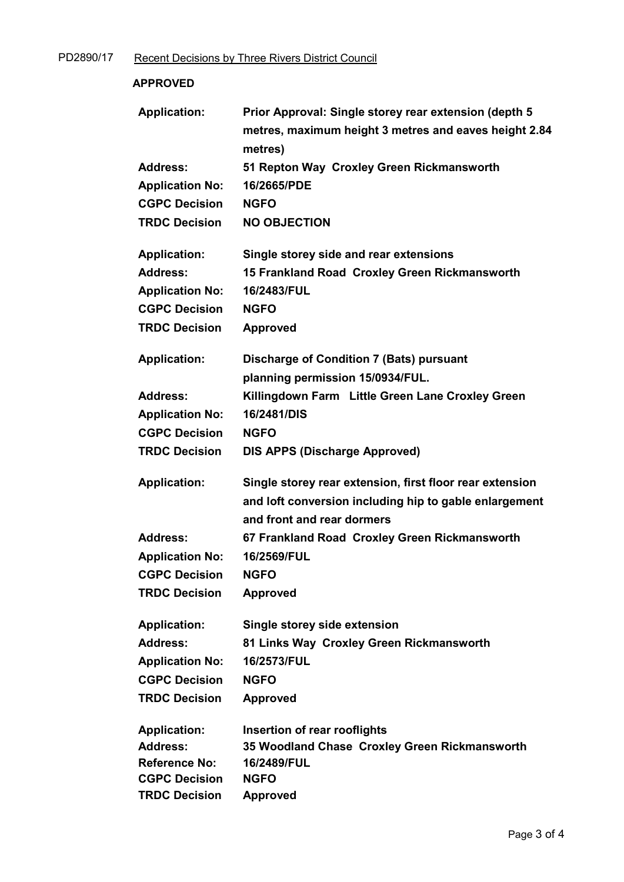| <b>APPROVED</b>        |                                                                                                                           |
|------------------------|---------------------------------------------------------------------------------------------------------------------------|
| <b>Application:</b>    | Prior Approval: Single storey rear extension (depth 5<br>metres, maximum height 3 metres and eaves height 2.84<br>metres) |
| <b>Address:</b>        | 51 Repton Way Croxley Green Rickmansworth                                                                                 |
| <b>Application No:</b> | 16/2665/PDE                                                                                                               |
| <b>CGPC Decision</b>   | <b>NGFO</b>                                                                                                               |
| <b>TRDC Decision</b>   | <b>NO OBJECTION</b>                                                                                                       |
|                        |                                                                                                                           |
| <b>Application:</b>    | Single storey side and rear extensions                                                                                    |
| <b>Address:</b>        | 15 Frankland Road Croxley Green Rickmansworth                                                                             |
| <b>Application No:</b> | 16/2483/FUL                                                                                                               |
| <b>CGPC Decision</b>   | <b>NGFO</b>                                                                                                               |
| <b>TRDC Decision</b>   | <b>Approved</b>                                                                                                           |
|                        |                                                                                                                           |
| <b>Application:</b>    | <b>Discharge of Condition 7 (Bats) pursuant</b>                                                                           |
|                        | planning permission 15/0934/FUL.                                                                                          |
| <b>Address:</b>        | Killingdown Farm Little Green Lane Croxley Green                                                                          |
| <b>Application No:</b> | 16/2481/DIS                                                                                                               |
| <b>CGPC Decision</b>   | <b>NGFO</b>                                                                                                               |
| <b>TRDC Decision</b>   | <b>DIS APPS (Discharge Approved)</b>                                                                                      |
| <b>Application:</b>    | Single storey rear extension, first floor rear extension                                                                  |
|                        | and loft conversion including hip to gable enlargement                                                                    |
|                        | and front and rear dormers                                                                                                |
| <b>Address:</b>        | 67 Frankland Road Croxley Green Rickmansworth                                                                             |
| <b>Application No:</b> | 16/2569/FUL                                                                                                               |
| <b>CGPC Decision</b>   | <b>NGFO</b>                                                                                                               |
| <b>TRDC Decision</b>   | <b>Approved</b>                                                                                                           |
|                        |                                                                                                                           |
| <b>Application:</b>    | Single storey side extension                                                                                              |
| <b>Address:</b>        | 81 Links Way Croxley Green Rickmansworth                                                                                  |
| <b>Application No:</b> | 16/2573/FUL                                                                                                               |
| <b>CGPC Decision</b>   | <b>NGFO</b>                                                                                                               |
| <b>TRDC Decision</b>   | <b>Approved</b>                                                                                                           |
| <b>Application:</b>    | Insertion of rear rooflights                                                                                              |
| <b>Address:</b>        | 35 Woodland Chase Croxley Green Rickmansworth                                                                             |
| <b>Reference No:</b>   | 16/2489/FUL                                                                                                               |
| <b>CGPC Decision</b>   | <b>NGFO</b>                                                                                                               |
| <b>TRDC Decision</b>   | <b>Approved</b>                                                                                                           |